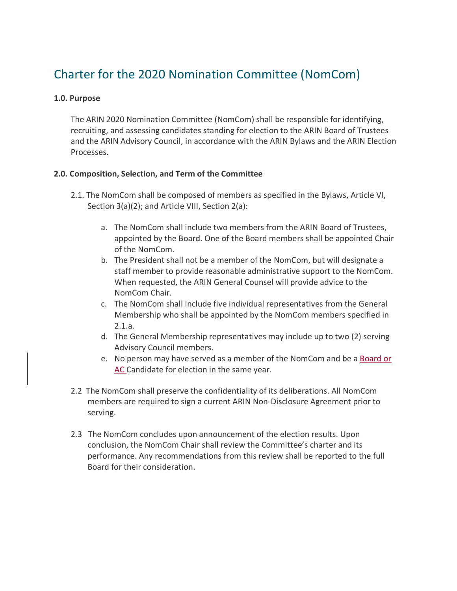# Charter for the 2020 Nomination Committee (NomCom)

# **1.0. Purpose**

The ARIN 2020 Nomination Committee (NomCom) shall be responsible for identifying, recruiting, and assessing candidates standing for election to the ARIN Board of Trustees and the ARIN Advisory Council, in accordance with the ARIN Bylaws and the ARIN Election Processes.

# **2.0. Composition, Selection, and Term of the Committee**

- 2.1. The NomCom shall be composed of members as specified in the Bylaws, Article VI, Section 3(a)(2); and Article VIII, Section 2(a):
	- a. The NomCom shall include two members from the ARIN Board of Trustees, appointed by the Board. One of the Board members shall be appointed Chair of the NomCom.
	- b. The President shall not be a member of the NomCom, but will designate a staff member to provide reasonable administrative support to the NomCom. When requested, the ARIN General Counsel will provide advice to the NomCom Chair.
	- c. The NomCom shall include five individual representatives from the General Membership who shall be appointed by the NomCom members specified in 2.1.a.
	- d. The General Membership representatives may include up to two (2) serving Advisory Council members.
	- e. No person may have served as a member of the NomCom and be a Board or AC Candidate for election in the same year.
- 2.2 The NomCom shall preserve the confidentiality of its deliberations. All NomCom members are required to sign a current ARIN Non-Disclosure Agreement prior to serving.
- 2.3 The NomCom concludes upon announcement of the election results. Upon conclusion, the NomCom Chair shall review the Committee's charter and its performance. Any recommendations from this review shall be reported to the full Board for their consideration.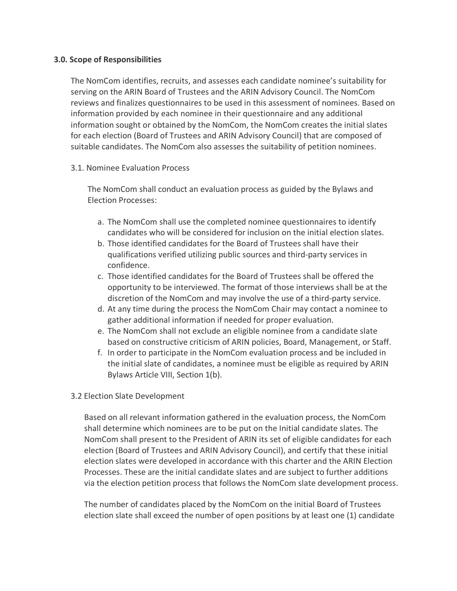## **3.0. Scope of Responsibilities**

The NomCom identifies, recruits, and assesses each candidate nominee's suitability for serving on the ARIN Board of Trustees and the ARIN Advisory Council. The NomCom reviews and finalizes questionnaires to be used in this assessment of nominees. Based on information provided by each nominee in their questionnaire and any additional information sought or obtained by the NomCom, the NomCom creates the initial slates for each election (Board of Trustees and ARIN Advisory Council) that are composed of suitable candidates. The NomCom also assesses the suitability of petition nominees.

3.1. Nominee Evaluation Process

The NomCom shall conduct an evaluation process as guided by the Bylaws and Election Processes:

- a. The NomCom shall use the completed nominee questionnaires to identify candidates who will be considered for inclusion on the initial election slates.
- b. Those identified candidates for the Board of Trustees shall have their qualifications verified utilizing public sources and third-party services in confidence.
- c. Those identified candidates for the Board of Trustees shall be offered the opportunity to be interviewed. The format of those interviews shall be at the discretion of the NomCom and may involve the use of a third-party service.
- d. At any time during the process the NomCom Chair may contact a nominee to gather additional information if needed for proper evaluation.
- e. The NomCom shall not exclude an eligible nominee from a candidate slate based on constructive criticism of ARIN policies, Board, Management, or Staff.
- f. In order to participate in the NomCom evaluation process and be included in the initial slate of candidates, a nominee must be eligible as required by ARIN Bylaws Article VIII, Section 1(b).

# 3.2 Election Slate Development

Based on all relevant information gathered in the evaluation process, the NomCom shall determine which nominees are to be put on the Initial candidate slates. The NomCom shall present to the President of ARIN its set of eligible candidates for each election (Board of Trustees and ARIN Advisory Council), and certify that these initial election slates were developed in accordance with this charter and the ARIN Election Processes. These are the initial candidate slates and are subject to further additions via the election petition process that follows the NomCom slate development process.

The number of candidates placed by the NomCom on the initial Board of Trustees election slate shall exceed the number of open positions by at least one (1) candidate